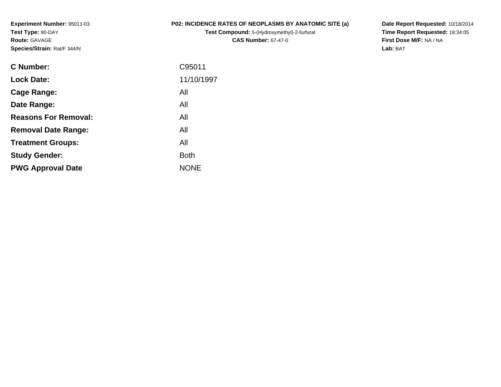**Experiment Number:** 95011-03**Test Type:** 90-DAY**Route:** GAVAGE**Species/Strain:** Rat/F 344/N

## **P02: INCIDENCE RATES OF NEOPLASMS BY ANATOMIC SITE (a)**

**Test Compound:** 5-(Hydroxymethyl)-2-furfural **CAS Number:** 67-47-0

**Date Report Requested:** 10/18/2014 **Time Report Requested:** 18:34:05**First Dose M/F:** NA / NA**Lab:** BAT

| C Number:                   | C95011      |
|-----------------------------|-------------|
| <b>Lock Date:</b>           | 11/10/1997  |
| Cage Range:                 | All         |
| Date Range:                 | All         |
| <b>Reasons For Removal:</b> | All         |
| <b>Removal Date Range:</b>  | All         |
| <b>Treatment Groups:</b>    | All         |
| <b>Study Gender:</b>        | <b>Both</b> |
| <b>PWG Approval Date</b>    | <b>NONE</b> |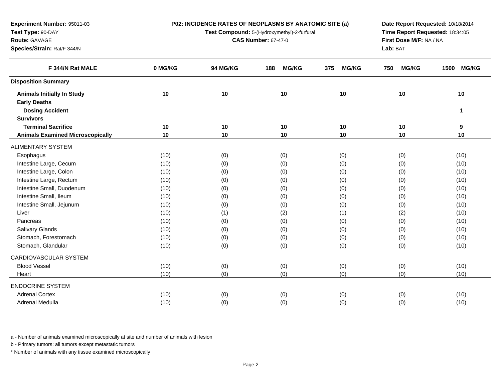| Test Type: 90-DAY                       |         | Test Compound: 5-(Hydroxymethyl)-2-furfural | Time Report Requested: 18:34:05 |                     |                     |                      |
|-----------------------------------------|---------|---------------------------------------------|---------------------------------|---------------------|---------------------|----------------------|
| Route: GAVAGE                           |         | <b>CAS Number: 67-47-0</b>                  | First Dose M/F: NA / NA         |                     |                     |                      |
| Species/Strain: Rat/F 344/N             |         |                                             |                                 |                     | Lab: BAT            |                      |
| F 344/N Rat MALE                        | 0 MG/KG | 94 MG/KG                                    | <b>MG/KG</b><br>188             | <b>MG/KG</b><br>375 | <b>MG/KG</b><br>750 | <b>MG/KG</b><br>1500 |
| <b>Disposition Summary</b>              |         |                                             |                                 |                     |                     |                      |
| <b>Animals Initially In Study</b>       | 10      | 10                                          | 10                              | 10                  | 10                  | 10                   |
| <b>Early Deaths</b>                     |         |                                             |                                 |                     |                     |                      |
| <b>Dosing Accident</b>                  |         |                                             |                                 |                     |                     | $\mathbf{1}$         |
| <b>Survivors</b>                        |         |                                             |                                 |                     |                     |                      |
| <b>Terminal Sacrifice</b>               | 10      | 10                                          | 10                              | 10                  | 10                  | 9                    |
| <b>Animals Examined Microscopically</b> | 10      | 10                                          | 10                              | 10                  | 10                  | 10                   |
| ALIMENTARY SYSTEM                       |         |                                             |                                 |                     |                     |                      |
| Esophagus                               | (10)    | (0)                                         | (0)                             | (0)                 | (0)                 | (10)                 |
| Intestine Large, Cecum                  | (10)    | (0)                                         | (0)                             | (0)                 | (0)                 | (10)                 |
| Intestine Large, Colon                  | (10)    | (0)                                         | (0)                             | (0)                 | (0)                 | (10)                 |
| Intestine Large, Rectum                 | (10)    | (0)                                         | (0)                             | (0)                 | (0)                 | (10)                 |
| Intestine Small, Duodenum               | (10)    | (0)                                         | (0)                             | (0)                 | (0)                 | (10)                 |
| Intestine Small, Ileum                  | (10)    | (0)                                         | (0)                             | (0)                 | (0)                 | (10)                 |
| Intestine Small, Jejunum                | (10)    | (0)                                         | (0)                             | (0)                 | (0)                 | (10)                 |
| Liver                                   | (10)    | (1)                                         | (2)                             | (1)                 | (2)                 | (10)                 |
| Pancreas                                | (10)    | (0)                                         | (0)                             | (0)                 | (0)                 | (10)                 |
| Salivary Glands                         | (10)    | (0)                                         | (0)                             | (0)                 | (0)                 | (10)                 |
| Stomach, Forestomach                    | (10)    | (0)                                         | (0)                             | (0)                 | (0)                 | (10)                 |
| Stomach, Glandular                      | (10)    | (0)                                         | (0)                             | (0)                 | (0)                 | (10)                 |
| CARDIOVASCULAR SYSTEM                   |         |                                             |                                 |                     |                     |                      |
| <b>Blood Vessel</b>                     | (10)    | (0)                                         | (0)                             | (0)                 | (0)                 | (10)                 |
| Heart                                   | (10)    | (0)                                         | (0)                             | (0)                 | (0)                 | (10)                 |
| <b>ENDOCRINE SYSTEM</b>                 |         |                                             |                                 |                     |                     |                      |
| <b>Adrenal Cortex</b>                   | (10)    | (0)                                         | (0)                             | (0)                 | (0)                 | (10)                 |
| Adrenal Medulla                         | (10)    | (0)                                         | (0)                             | (0)                 | (0)                 | (10)                 |
|                                         |         |                                             |                                 |                     |                     |                      |

**P02: INCIDENCE RATES OF NEOPLASMS BY ANATOMIC SITE (a)**

**Date Report Requested:** 10/18/2014

a - Number of animals examined microscopically at site and number of animals with lesion

b - Primary tumors: all tumors except metastatic tumors

**Experiment Number:** 95011-03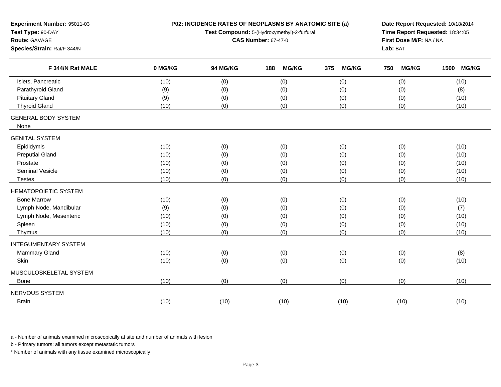| Experiment Number: 95011-03<br>Test Type: 90-DAY<br>Route: GAVAGE<br>Species/Strain: Rat/F 344/N |         | P02: INCIDENCE RATES OF NEOPLASMS BY ANATOMIC SITE (a)<br>Test Compound: 5-(Hydroxymethyl)-2-furfural<br><b>CAS Number: 67-47-0</b> | Date Report Requested: 10/18/2014<br>Time Report Requested: 18:34:05<br>First Dose M/F: NA / NA<br>Lab: BAT |                     |                     |                      |
|--------------------------------------------------------------------------------------------------|---------|-------------------------------------------------------------------------------------------------------------------------------------|-------------------------------------------------------------------------------------------------------------|---------------------|---------------------|----------------------|
| F 344/N Rat MALE                                                                                 | 0 MG/KG | 94 MG/KG                                                                                                                            | <b>MG/KG</b><br>188                                                                                         | <b>MG/KG</b><br>375 | <b>MG/KG</b><br>750 | <b>MG/KG</b><br>1500 |
| Islets, Pancreatic                                                                               | (10)    | (0)                                                                                                                                 | (0)                                                                                                         | (0)                 | (0)                 | (10)                 |
| Parathyroid Gland                                                                                | (9)     | (0)                                                                                                                                 | (0)                                                                                                         | (0)                 | (0)                 | (8)                  |
| <b>Pituitary Gland</b>                                                                           | (9)     | (0)                                                                                                                                 | (0)                                                                                                         | (0)                 | (0)                 | (10)                 |
| <b>Thyroid Gland</b>                                                                             | (10)    | (0)                                                                                                                                 | (0)                                                                                                         | (0)                 | (0)                 | (10)                 |
| <b>GENERAL BODY SYSTEM</b><br>None                                                               |         |                                                                                                                                     |                                                                                                             |                     |                     |                      |
| <b>GENITAL SYSTEM</b>                                                                            |         |                                                                                                                                     |                                                                                                             |                     |                     |                      |
| Epididymis                                                                                       | (10)    | (0)                                                                                                                                 | (0)                                                                                                         | (0)                 | (0)                 | (10)                 |
| <b>Preputial Gland</b>                                                                           | (10)    | (0)                                                                                                                                 | (0)                                                                                                         | (0)                 | (0)                 | (10)                 |
| Prostate                                                                                         | (10)    | (0)                                                                                                                                 | (0)                                                                                                         | (0)                 | (0)                 | (10)                 |
| Seminal Vesicle                                                                                  | (10)    | (0)                                                                                                                                 | (0)                                                                                                         | (0)                 | (0)                 | (10)                 |
| <b>Testes</b>                                                                                    | (10)    | (0)                                                                                                                                 | (0)                                                                                                         | (0)                 | (0)                 | (10)                 |
| <b>HEMATOPOIETIC SYSTEM</b>                                                                      |         |                                                                                                                                     |                                                                                                             |                     |                     |                      |
| <b>Bone Marrow</b>                                                                               | (10)    | (0)                                                                                                                                 | (0)                                                                                                         | (0)                 | (0)                 | (10)                 |
| Lymph Node, Mandibular                                                                           | (9)     | (0)                                                                                                                                 | (0)                                                                                                         | (0)                 | (0)                 | (7)                  |
| Lymph Node, Mesenteric                                                                           | (10)    | (0)                                                                                                                                 | (0)                                                                                                         | (0)                 | (0)                 | (10)                 |
| Spleen                                                                                           | (10)    | (0)                                                                                                                                 | (0)                                                                                                         | (0)                 | (0)                 | (10)                 |
| Thymus                                                                                           | (10)    | (0)                                                                                                                                 | (0)                                                                                                         | (0)                 | (0)                 | (10)                 |
| <b>INTEGUMENTARY SYSTEM</b>                                                                      |         |                                                                                                                                     |                                                                                                             |                     |                     |                      |
| Mammary Gland                                                                                    | (10)    | (0)                                                                                                                                 | (0)                                                                                                         | (0)                 | (0)                 | (8)                  |
| Skin                                                                                             | (10)    | (0)                                                                                                                                 | (0)                                                                                                         | (0)                 | (0)                 | (10)                 |
| MUSCULOSKELETAL SYSTEM                                                                           |         |                                                                                                                                     |                                                                                                             |                     |                     |                      |
| <b>Bone</b>                                                                                      | (10)    | (0)                                                                                                                                 | (0)                                                                                                         | (0)                 | (0)                 | (10)                 |
| NERVOUS SYSTEM                                                                                   |         |                                                                                                                                     |                                                                                                             |                     |                     |                      |
| <b>Brain</b>                                                                                     | (10)    | (10)                                                                                                                                | (10)                                                                                                        | (10)                | (10)                | (10)                 |

a - Number of animals examined microscopically at site and number of animals with lesion

b - Primary tumors: all tumors except metastatic tumors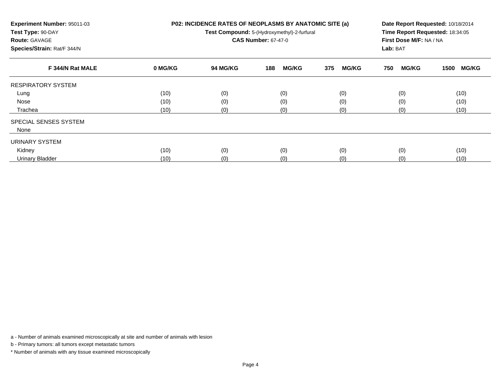| Experiment Number: 95011-03<br>Test Type: 90-DAY<br><b>Route: GAVAGE</b><br>Species/Strain: Rat/F 344/N |         | P02: INCIDENCE RATES OF NEOPLASMS BY ANATOMIC SITE (a)<br>Test Compound: 5-(Hydroxymethyl)-2-furfural<br><b>CAS Number: 67-47-0</b> | Date Report Requested: 10/18/2014<br>Time Report Requested: 18:34:05<br>First Dose M/F: NA / NA<br>Lab: BAT |                     |                     |                      |
|---------------------------------------------------------------------------------------------------------|---------|-------------------------------------------------------------------------------------------------------------------------------------|-------------------------------------------------------------------------------------------------------------|---------------------|---------------------|----------------------|
| F 344/N Rat MALE                                                                                        | 0 MG/KG | 94 MG/KG                                                                                                                            | <b>MG/KG</b><br>188                                                                                         | 375<br><b>MG/KG</b> | 750<br><b>MG/KG</b> | <b>MG/KG</b><br>1500 |
| <b>RESPIRATORY SYSTEM</b>                                                                               |         |                                                                                                                                     |                                                                                                             |                     |                     |                      |
| Lung                                                                                                    | (10)    | (0)                                                                                                                                 | (0)                                                                                                         | (0)                 | (0)                 | (10)                 |
| Nose                                                                                                    | (10)    | (0)                                                                                                                                 | (0)                                                                                                         | (0)                 | (0)                 | (10)                 |
| Trachea                                                                                                 | (10)    | (0)                                                                                                                                 | (0)                                                                                                         | (0)                 | (0)                 | (10)                 |
| SPECIAL SENSES SYSTEM                                                                                   |         |                                                                                                                                     |                                                                                                             |                     |                     |                      |
| None                                                                                                    |         |                                                                                                                                     |                                                                                                             |                     |                     |                      |
| URINARY SYSTEM                                                                                          |         |                                                                                                                                     |                                                                                                             |                     |                     |                      |
| Kidney                                                                                                  | (10)    | (0)                                                                                                                                 | (0)                                                                                                         | (0)                 | (0)                 | (10)                 |
| Urinary Bladder                                                                                         | (10)    | (0)                                                                                                                                 | (0)                                                                                                         | (0)                 | (0)                 | (10)                 |

a - Number of animals examined microscopically at site and number of animals with lesion

b - Primary tumors: all tumors except metastatic tumors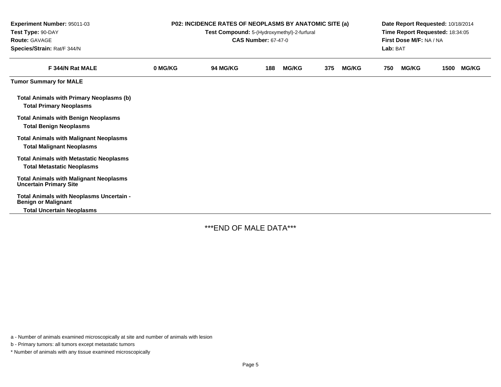| Experiment Number: 95011-03<br>Test Type: 90-DAY<br><b>Route: GAVAGE</b><br>Species/Strain: Rat/F 344/N    | <b>P02: INCIDENCE RATES OF NEOPLASMS BY ANATOMIC SITE (a)</b><br>Test Compound: 5-(Hydroxymethyl)-2-furfural<br><b>CAS Number: 67-47-0</b> |          |     |              |     |              | Date Report Requested: 10/18/2014<br>Time Report Requested: 18:34:05<br>First Dose M/F: NA / NA<br>Lab: BAT |              |      |              |
|------------------------------------------------------------------------------------------------------------|--------------------------------------------------------------------------------------------------------------------------------------------|----------|-----|--------------|-----|--------------|-------------------------------------------------------------------------------------------------------------|--------------|------|--------------|
| F 344/N Rat MALE                                                                                           | 0 MG/KG                                                                                                                                    | 94 MG/KG | 188 | <b>MG/KG</b> | 375 | <b>MG/KG</b> | 750                                                                                                         | <b>MG/KG</b> | 1500 | <b>MG/KG</b> |
| <b>Tumor Summary for MALE</b>                                                                              |                                                                                                                                            |          |     |              |     |              |                                                                                                             |              |      |              |
| <b>Total Animals with Primary Neoplasms (b)</b><br><b>Total Primary Neoplasms</b>                          |                                                                                                                                            |          |     |              |     |              |                                                                                                             |              |      |              |
| <b>Total Animals with Benign Neoplasms</b><br><b>Total Benign Neoplasms</b>                                |                                                                                                                                            |          |     |              |     |              |                                                                                                             |              |      |              |
| <b>Total Animals with Malignant Neoplasms</b><br><b>Total Malignant Neoplasms</b>                          |                                                                                                                                            |          |     |              |     |              |                                                                                                             |              |      |              |
| <b>Total Animals with Metastatic Neoplasms</b><br><b>Total Metastatic Neoplasms</b>                        |                                                                                                                                            |          |     |              |     |              |                                                                                                             |              |      |              |
| <b>Total Animals with Malignant Neoplasms</b><br><b>Uncertain Primary Site</b>                             |                                                                                                                                            |          |     |              |     |              |                                                                                                             |              |      |              |
| Total Animals with Neoplasms Uncertain -<br><b>Benign or Malignant</b><br><b>Total Uncertain Neoplasms</b> |                                                                                                                                            |          |     |              |     |              |                                                                                                             |              |      |              |

\*\*\*END OF MALE DATA\*\*\*

a - Number of animals examined microscopically at site and number of animals with lesion

b - Primary tumors: all tumors except metastatic tumors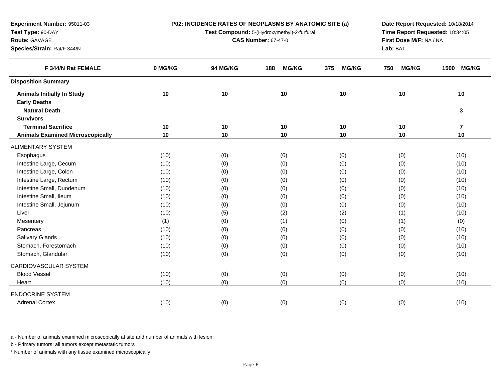| Test Type: 90-DAY                       |         | Test Compound: 5-(Hydroxymethyl)-2-furfural | Time Report Requested: 18:34:05 |                     |                     |                         |
|-----------------------------------------|---------|---------------------------------------------|---------------------------------|---------------------|---------------------|-------------------------|
| Route: GAVAGE                           |         | <b>CAS Number: 67-47-0</b>                  | First Dose M/F: NA / NA         |                     |                     |                         |
| Species/Strain: Rat/F 344/N             |         |                                             |                                 |                     | Lab: BAT            |                         |
| F 344/N Rat FEMALE                      | 0 MG/KG | 94 MG/KG                                    | <b>MG/KG</b><br>188             | <b>MG/KG</b><br>375 | <b>MG/KG</b><br>750 | <b>MG/KG</b><br>1500    |
| <b>Disposition Summary</b>              |         |                                             |                                 |                     |                     |                         |
| <b>Animals Initially In Study</b>       | 10      | 10                                          | 10                              | 10                  | 10                  | 10                      |
| <b>Early Deaths</b>                     |         |                                             |                                 |                     |                     |                         |
| <b>Natural Death</b>                    |         |                                             |                                 |                     |                     | 3                       |
| <b>Survivors</b>                        |         |                                             |                                 |                     |                     |                         |
| <b>Terminal Sacrifice</b>               | 10      | 10                                          | 10                              | 10                  | 10                  | $\overline{\mathbf{r}}$ |
| <b>Animals Examined Microscopically</b> | 10      | 10                                          | 10                              | 10                  | 10                  | 10                      |
| <b>ALIMENTARY SYSTEM</b>                |         |                                             |                                 |                     |                     |                         |
| Esophagus                               | (10)    | (0)                                         | (0)                             | (0)                 | (0)                 | (10)                    |
| Intestine Large, Cecum                  | (10)    | (0)                                         | (0)                             | (0)                 | (0)                 | (10)                    |
| Intestine Large, Colon                  | (10)    | (0)                                         | (0)                             | (0)                 | (0)                 | (10)                    |
| Intestine Large, Rectum                 | (10)    | (0)                                         | (0)                             | (0)                 | (0)                 | (10)                    |
| Intestine Small, Duodenum               | (10)    | (0)                                         | (0)                             | (0)                 | (0)                 | (10)                    |
| Intestine Small, Ileum                  | (10)    | (0)                                         | (0)                             | (0)                 | (0)                 | (10)                    |
| Intestine Small, Jejunum                | (10)    | (0)                                         | (0)                             | (0)                 | (0)                 | (10)                    |
| Liver                                   | (10)    | (5)                                         | (2)                             | (2)                 | (1)                 | (10)                    |
| Mesentery                               | (1)     | (0)                                         | (1)                             | (0)                 | (1)                 | (0)                     |
| Pancreas                                | (10)    | (0)                                         | (0)                             | (0)                 | (0)                 | (10)                    |
| Salivary Glands                         | (10)    | (0)                                         | (0)                             | (0)                 | (0)                 | (10)                    |
| Stomach, Forestomach                    | (10)    | (0)                                         | (0)                             | (0)                 | (0)                 | (10)                    |
| Stomach, Glandular                      | (10)    | (0)                                         | (0)                             | (0)                 | (0)                 | (10)                    |
| CARDIOVASCULAR SYSTEM                   |         |                                             |                                 |                     |                     |                         |
| <b>Blood Vessel</b>                     | (10)    | (0)                                         | (0)                             | (0)                 | (0)                 | (10)                    |
| Heart                                   | (10)    | (0)                                         | (0)                             | (0)                 | (0)                 | (10)                    |
| <b>ENDOCRINE SYSTEM</b>                 |         |                                             |                                 |                     |                     |                         |
| <b>Adrenal Cortex</b>                   | (10)    | (0)                                         | (0)                             | (0)                 | (0)                 | (10)                    |

**P02: INCIDENCE RATES OF NEOPLASMS BY ANATOMIC SITE (a)**

**Date Report Requested:** 10/18/2014

a - Number of animals examined microscopically at site and number of animals with lesion

b - Primary tumors: all tumors except metastatic tumors

**Experiment Number:** 95011-03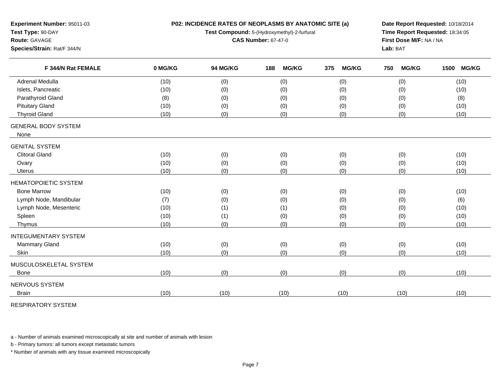| Experiment Number: 95011-03<br>Test Type: 90-DAY<br>Route: GAVAGE |         | P02: INCIDENCE RATES OF NEOPLASMS BY ANATOMIC SITE (a)<br>Test Compound: 5-(Hydroxymethyl)-2-furfural<br><b>CAS Number: 67-47-0</b> | Date Report Requested: 10/18/2014<br>Time Report Requested: 18:34:05<br>First Dose M/F: NA / NA |                     |                     |                      |  |
|-------------------------------------------------------------------|---------|-------------------------------------------------------------------------------------------------------------------------------------|-------------------------------------------------------------------------------------------------|---------------------|---------------------|----------------------|--|
| Species/Strain: Rat/F 344/N                                       |         |                                                                                                                                     |                                                                                                 |                     | Lab: BAT            |                      |  |
| F 344/N Rat FEMALE                                                | 0 MG/KG | 94 MG/KG                                                                                                                            | <b>MG/KG</b><br>188                                                                             | 375<br><b>MG/KG</b> | <b>MG/KG</b><br>750 | 1500<br><b>MG/KG</b> |  |
| <b>Adrenal Medulla</b>                                            | (10)    | (0)                                                                                                                                 | (0)                                                                                             | (0)                 | (0)                 | (10)                 |  |
| Islets, Pancreatic                                                | (10)    | (0)                                                                                                                                 | (0)                                                                                             | (0)                 | (0)                 | (10)                 |  |
| Parathyroid Gland                                                 | (8)     | (0)                                                                                                                                 | (0)                                                                                             | (0)                 | (0)                 | (8)                  |  |
| <b>Pituitary Gland</b>                                            | (10)    | (0)                                                                                                                                 | (0)                                                                                             | (0)                 | (0)                 | (10)                 |  |
| <b>Thyroid Gland</b>                                              | (10)    | (0)                                                                                                                                 | (0)                                                                                             | (0)                 | (0)                 | (10)                 |  |
| <b>GENERAL BODY SYSTEM</b><br>None                                |         |                                                                                                                                     |                                                                                                 |                     |                     |                      |  |
| <b>GENITAL SYSTEM</b>                                             |         |                                                                                                                                     |                                                                                                 |                     |                     |                      |  |
| <b>Clitoral Gland</b>                                             | (10)    | (0)                                                                                                                                 | (0)                                                                                             | (0)                 | (0)                 | (10)                 |  |
| Ovary                                                             | (10)    | (0)                                                                                                                                 | (0)                                                                                             | (0)                 | (0)                 | (10)                 |  |
| Uterus                                                            | (10)    | (0)                                                                                                                                 | (0)                                                                                             | (0)                 | (0)                 | (10)                 |  |
| <b>HEMATOPOIETIC SYSTEM</b>                                       |         |                                                                                                                                     |                                                                                                 |                     |                     |                      |  |
| <b>Bone Marrow</b>                                                | (10)    | (0)                                                                                                                                 | (0)                                                                                             | (0)                 | (0)                 | (10)                 |  |
| Lymph Node, Mandibular                                            | (7)     | (0)                                                                                                                                 | (0)                                                                                             | (0)                 | (0)                 | (6)                  |  |
| Lymph Node, Mesenteric                                            | (10)    | (1)                                                                                                                                 | (1)                                                                                             | (0)                 | (0)                 | (10)                 |  |
| Spleen                                                            | (10)    | (1)                                                                                                                                 | (0)                                                                                             | (0)                 | (0)                 | (10)                 |  |
| Thymus                                                            | (10)    | (0)                                                                                                                                 | (0)                                                                                             | (0)                 | (0)                 | (10)                 |  |
| <b>INTEGUMENTARY SYSTEM</b>                                       |         |                                                                                                                                     |                                                                                                 |                     |                     |                      |  |
| <b>Mammary Gland</b>                                              | (10)    | (0)                                                                                                                                 | (0)                                                                                             | (0)                 | (0)                 | (10)                 |  |
| Skin                                                              | (10)    | (0)                                                                                                                                 | (0)                                                                                             | (0)                 | (0)                 | (10)                 |  |
| MUSCULOSKELETAL SYSTEM                                            |         |                                                                                                                                     |                                                                                                 |                     |                     |                      |  |
| <b>Bone</b>                                                       | (10)    | (0)                                                                                                                                 | (0)                                                                                             | (0)                 | (0)                 | (10)                 |  |
| NERVOUS SYSTEM                                                    |         |                                                                                                                                     |                                                                                                 |                     |                     |                      |  |
| <b>Brain</b>                                                      | (10)    | (10)                                                                                                                                | (10)                                                                                            | (10)                | (10)                | (10)                 |  |

RESPIRATORY SYSTEM

a - Number of animals examined microscopically at site and number of animals with lesion

b - Primary tumors: all tumors except metastatic tumors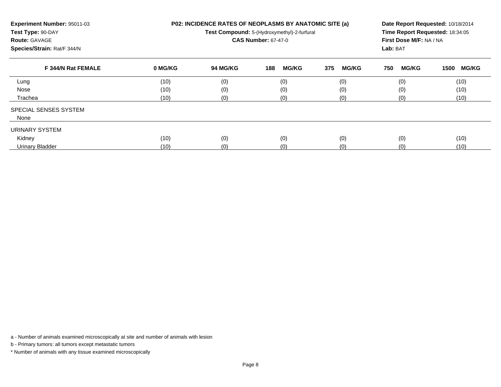| Experiment Number: 95011-03<br>Test Type: 90-DAY<br><b>Route: GAVAGE</b><br>Species/Strain: Rat/F 344/N |         | <b>P02: INCIDENCE RATES OF NEOPLASMS BY ANATOMIC SITE (a)</b><br>Test Compound: 5-(Hydroxymethyl)-2-furfural<br><b>CAS Number: 67-47-0</b> | Date Report Requested: 10/18/2014<br>Time Report Requested: 18:34:05<br>First Dose M/F: NA / NA<br>Lab: BAT |                     |                     |                      |
|---------------------------------------------------------------------------------------------------------|---------|--------------------------------------------------------------------------------------------------------------------------------------------|-------------------------------------------------------------------------------------------------------------|---------------------|---------------------|----------------------|
| F 344/N Rat FEMALE                                                                                      | 0 MG/KG | 94 MG/KG                                                                                                                                   | <b>MG/KG</b><br>188                                                                                         | 375<br><b>MG/KG</b> | <b>MG/KG</b><br>750 | <b>MG/KG</b><br>1500 |
| Lung                                                                                                    | (10)    | (0)                                                                                                                                        | (0)                                                                                                         | (0)                 | (0)                 | (10)                 |
| Nose                                                                                                    | (10)    | (0)                                                                                                                                        | (0)                                                                                                         | (0)                 | (0)                 | (10)                 |
| Trachea                                                                                                 | (10)    | (0)                                                                                                                                        | (0)                                                                                                         | (0)                 | (0)                 | (10)                 |
| SPECIAL SENSES SYSTEM                                                                                   |         |                                                                                                                                            |                                                                                                             |                     |                     |                      |
| None                                                                                                    |         |                                                                                                                                            |                                                                                                             |                     |                     |                      |
| URINARY SYSTEM                                                                                          |         |                                                                                                                                            |                                                                                                             |                     |                     |                      |
| Kidney                                                                                                  | (10)    | (0)                                                                                                                                        | (0)                                                                                                         | (0)                 | (0)                 | (10)                 |
| <b>Urinary Bladder</b>                                                                                  | (10)    | (0)                                                                                                                                        | (0)                                                                                                         | (0)                 | (0)                 | (10)                 |

a - Number of animals examined microscopically at site and number of animals with lesion

b - Primary tumors: all tumors except metastatic tumors